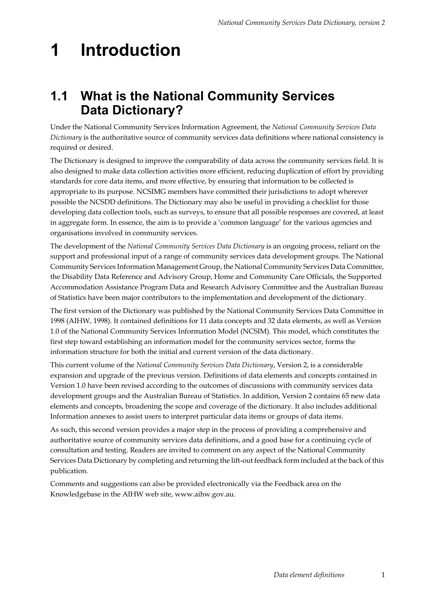## **1 Introduction**

### **1.1 What is the National Community Services Data Dictionary?**

Under the National Community Services Information Agreement, the *National Community Services Data Dictionary* is the authoritative source of community services data definitions where national consistency is required or desired.

The Dictionary is designed to improve the comparability of data across the community services field. It is also designed to make data collection activities more efficient, reducing duplication of effort by providing standards for core data items, and more effective, by ensuring that information to be collected is appropriate to its purpose. NCSIMG members have committed their jurisdictions to adopt wherever possible the NCSDD definitions. The Dictionary may also be useful in providing a checklist for those developing data collection tools, such as surveys, to ensure that all possible responses are covered, at least in aggregate form. In essence, the aim is to provide a 'common language' for the various agencies and organisations involved in community services.

The development of the *National Community Services Data Dictionary* is an ongoing process, reliant on the support and professional input of a range of community services data development groups. The National Community Services Information Management Group, the National Community Services Data Committee, the Disability Data Reference and Advisory Group, Home and Community Care Officials, the Supported Accommodation Assistance Program Data and Research Advisory Committee and the Australian Bureau of Statistics have been major contributors to the implementation and development of the dictionary.

The first version of the Dictionary was published by the National Community Services Data Committee in 1998 (AIHW, 1998). It contained definitions for 11 data concepts and 32 data elements, as well as Version 1.0 of the National Community Services Information Model (NCSIM). This model, which constitutes the first step toward establishing an information model for the community services sector, forms the information structure for both the initial and current version of the data dictionary.

This current volume of the *National Community Services Data Dictionary*, Version 2, is a considerable expansion and upgrade of the previous version. Definitions of data elements and concepts contained in Version 1.0 have been revised according to the outcomes of discussions with community services data development groups and the Australian Bureau of Statistics. In addition, Version 2 contains 65 new data elements and concepts, broadening the scope and coverage of the dictionary. It also includes additional Information annexes to assist users to interpret particular data items or groups of data items.

As such, this second version provides a major step in the process of providing a comprehensive and authoritative source of community services data definitions, and a good base for a continuing cycle of consultation and testing. Readers are invited to comment on any aspect of the National Community Services Data Dictionary by completing and returning the lift-out feedback form included at the back of this publication.

Comments and suggestions can also be provided electronically via the Feedback area on the Knowledgebase in the AIHW web site, www.aihw.gov.au.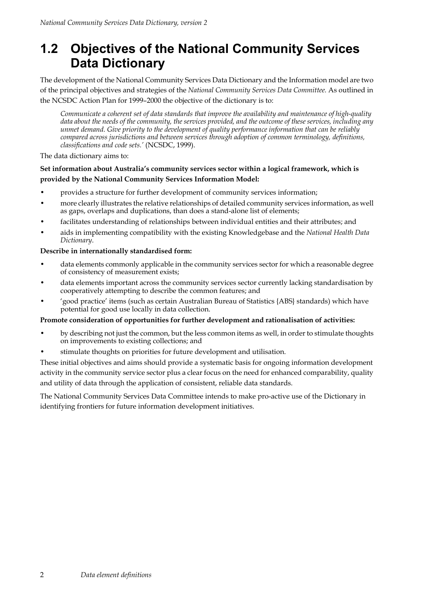### **1.2 Objectives of the National Community Services Data Dictionary**

The development of the National Community Services Data Dictionary and the Information model are two of the principal objectives and strategies of the *National Community Services Data Committee.* As outlined in the NCSDC Action Plan for 1999–2000 the objective of the dictionary is to:

*Communicate a coherent set of data standards that improve the availability and maintenance of high-quality data about the needs of the community, the services provided, and the outcome of these services, including any unmet demand. Give priority to the development of quality performance information that can be reliably compared across jurisdictions and between services through adoption of common terminology, definitions, classifications and code sets.'* (NCSDC, 1999).

The data dictionary aims to:

#### **Set information about Australia's community services sector within a logical framework, which is provided by the National Community Services Information Model:**

- provides a structure for further development of community services information;
- more clearly illustrates the relative relationships of detailed community services information, as well as gaps, overlaps and duplications, than does a stand-alone list of elements;
- facilitates understanding of relationships between individual entities and their attributes; and
- aids in implementing compatibility with the existing Knowledgebase and the *National Health Data Dictionary*.

#### **Describe in internationally standardised form:**

- data elements commonly applicable in the community services sector for which a reasonable degree of consistency of measurement exists;
- data elements important across the community services sector currently lacking standardisation by cooperatively attempting to describe the common features; and
- 'good practice' items (such as certain Australian Bureau of Statistics {ABS} standards) which have potential for good use locally in data collection.

#### **Promote consideration of opportunities for further development and rationalisation of activities:**

- by describing not just the common, but the less common items as well, in order to stimulate thoughts on improvements to existing collections; and
- stimulate thoughts on priorities for future development and utilisation.

These initial objectives and aims should provide a systematic basis for ongoing information development activity in the community service sector plus a clear focus on the need for enhanced comparability, quality and utility of data through the application of consistent, reliable data standards.

The National Community Services Data Committee intends to make pro-active use of the Dictionary in identifying frontiers for future information development initiatives.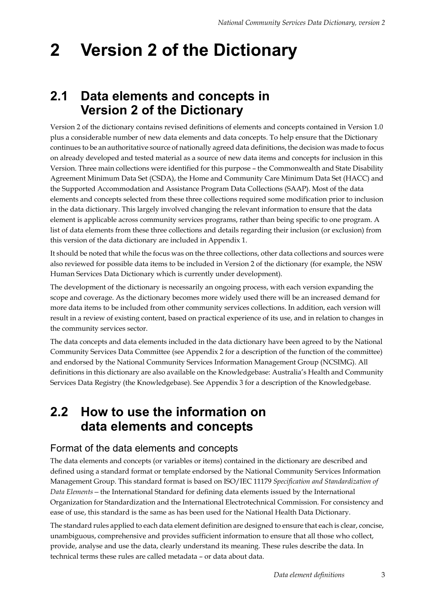# **2 Version 2 of the Dictionary**

### **2.1 Data elements and concepts in Version 2 of the Dictionary**

Version 2 of the dictionary contains revised definitions of elements and concepts contained in Version 1.0 plus a considerable number of new data elements and data concepts. To help ensure that the Dictionary continues to be an authoritative source of nationally agreed data definitions, the decision was made to focus on already developed and tested material as a source of new data items and concepts for inclusion in this Version. Three main collections were identified for this purpose – the Commonwealth and State Disability Agreement Minimum Data Set (CSDA), the Home and Community Care Minimum Data Set (HACC) and the Supported Accommodation and Assistance Program Data Collections (SAAP). Most of the data elements and concepts selected from these three collections required some modification prior to inclusion in the data dictionary. This largely involved changing the relevant information to ensure that the data element is applicable across community services programs, rather than being specific to one program. A list of data elements from these three collections and details regarding their inclusion (or exclusion) from this version of the data dictionary are included in Appendix 1.

It should be noted that while the focus was on the three collections, other data collections and sources were also reviewed for possible data items to be included in Version 2 of the dictionary (for example, the NSW Human Services Data Dictionary which is currently under development).

The development of the dictionary is necessarily an ongoing process, with each version expanding the scope and coverage. As the dictionary becomes more widely used there will be an increased demand for more data items to be included from other community services collections. In addition, each version will result in a review of existing content, based on practical experience of its use, and in relation to changes in the community services sector.

The data concepts and data elements included in the data dictionary have been agreed to by the National Community Services Data Committee (see Appendix 2 for a description of the function of the committee) and endorsed by the National Community Services Information Management Group (NCSIMG). All definitions in this dictionary are also available on the Knowledgebase: Australia's Health and Community Services Data Registry (the Knowledgebase). See Appendix 3 for a description of the Knowledgebase.

### **2.2 How to use the information on data elements and concepts**

### Format of the data elements and concepts

The data elements and concepts (or variables or items) contained in the dictionary are described and defined using a standard format or template endorsed by the National Community Services Information Management Group. This standard format is based on ISO/IEC 11179 *Specification and Standardization of Data Elements—*the International Standard for defining data elements issued by the International Organization for Standardization and the International Electrotechnical Commission. For consistency and ease of use, this standard is the same as has been used for the National Health Data Dictionary.

The standard rules applied to each data element definition are designed to ensure that each is clear, concise, unambiguous, comprehensive and provides sufficient information to ensure that all those who collect, provide, analyse and use the data, clearly understand its meaning. These rules describe the data. In technical terms these rules are called metadata – or data about data.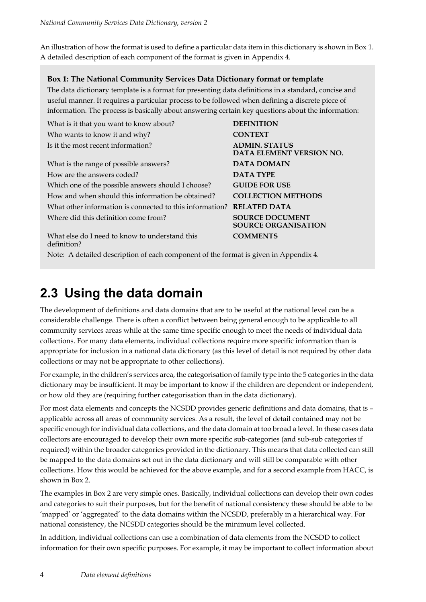An illustration of how the format is used to define a particular data item in this dictionary is shown in Box 1. A detailed description of each component of the format is given in Appendix 4.

#### **Box 1: The National Community Services Data Dictionary format or template**

The data dictionary template is a format for presenting data definitions in a standard, concise and useful manner. It requires a particular process to be followed when defining a discrete piece of information. The process is basically about answering certain key questions about the information:

| What is it that you want to know about?                  | <b>DEFINITION</b>                                      |
|----------------------------------------------------------|--------------------------------------------------------|
| Who wants to know it and why?                            | <b>CONTEXT</b>                                         |
| Is it the most recent information?                       | <b>ADMIN. STATUS</b><br><b>DATA ELEMENT VERSION NO</b> |
| What is the range of possible answers?                   | <b>DATA DOMAIN</b>                                     |
| How are the answers coded?                               | <b>DATA TYPE</b>                                       |
| Which one of the possible answers should I choose?       | <b>GUIDE FOR USE</b>                                   |
| How and when should this information be obtained?        | <b>COLLECTION METHODS</b>                              |
| What other information is connected to this information? | <b>RELATED DATA</b>                                    |
| Where did this definition come from?                     | <b>SOURCE DOCUMENT</b><br><b>SOURCE ORGANISATION</b>   |
| What else do I need to know to understand this           | <b>COMMENTS</b>                                        |

definition?

**DATA ELEMENT VERSION NO.**

Note: A detailed description of each component of the format is given in Appendix 4.

### **2.3 Using the data domain**

The development of definitions and data domains that are to be useful at the national level can be a considerable challenge. There is often a conflict between being general enough to be applicable to all community services areas while at the same time specific enough to meet the needs of individual data collections. For many data elements, individual collections require more specific information than is appropriate for inclusion in a national data dictionary (as this level of detail is not required by other data collections or may not be appropriate to other collections).

For example, in the children's services area, the categorisation of family type into the 5 categories in the data dictionary may be insufficient. It may be important to know if the children are dependent or independent, or how old they are (requiring further categorisation than in the data dictionary).

For most data elements and concepts the NCSDD provides generic definitions and data domains, that is – applicable across all areas of community services. As a result, the level of detail contained may not be specific enough for individual data collections, and the data domain at too broad a level. In these cases data collectors are encouraged to develop their own more specific sub-categories (and sub-sub categories if required) within the broader categories provided in the dictionary. This means that data collected can still be mapped to the data domains set out in the data dictionary and will still be comparable with other collections. How this would be achieved for the above example, and for a second example from HACC, is shown in Box 2.

The examples in Box 2 are very simple ones. Basically, individual collections can develop their own codes and categories to suit their purposes, but for the benefit of national consistency these should be able to be 'mapped' or 'aggregated' to the data domains within the NCSDD, preferably in a hierarchical way. For national consistency, the NCSDD categories should be the minimum level collected.

In addition, individual collections can use a combination of data elements from the NCSDD to collect information for their own specific purposes. For example, it may be important to collect information about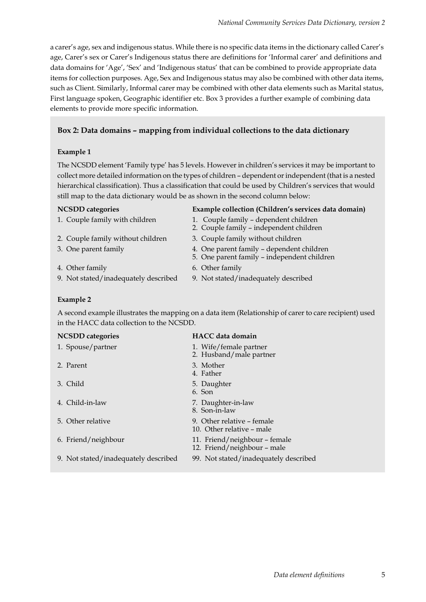a carer's age, sex and indigenous status. While there is no specific data items in the dictionary called Carer's age, Carer's sex or Carer's Indigenous status there are definitions for 'Informal carer' and definitions and data domains for 'Age', 'Sex' and 'Indigenous status' that can be combined to provide appropriate data items for collection purposes. Age, Sex and Indigenous status may also be combined with other data items, such as Client. Similarly, Informal carer may be combined with other data elements such as Marital status, First language spoken, Geographic identifier etc. Box 3 provides a further example of combining data elements to provide more specific information.

### **Box 2: Data domains – mapping from individual collections to the data dictionary**

#### **Example 1**

The NCSDD element 'Family type' has 5 levels. However in children's services it may be important to collect more detailed information on the types of children – dependent or independent (that is a nested hierarchical classification). Thus a classification that could be used by Children's services that would still map to the data dictionary would be as shown in the second column below:

#### **NCSDD categories Example collection (Children's services data domain)**

- 1. Couple family with children 1. Couple family dependent children
- 2. Couple family without children 3. Couple family without children
- 3. One parent family 4. One parent family dependent children
- 
- 9. Not stated/inadequately described 9. Not stated/inadequately described
- 5. One parent family independent children
- 4. Other family 6. Other family
	-

2. Couple family – independent children

#### **Example 2**

A second example illustrates the mapping on a data item (Relationship of carer to care recipient) used in the HACC data collection to the NCSDD.

#### **NCSDD categories HACC data domain**

| 1. Spouse/partner                    | 1. Wife/female partner<br>2. Husband/male partner            |
|--------------------------------------|--------------------------------------------------------------|
| 2. Parent                            | 3. Mother<br>4. Father                                       |
| 3. Child                             | 5. Daughter<br>6. Son                                        |
| 4. Child-in-law                      | 7. Daughter-in-law<br>8. Son-in-law                          |
| 5. Other relative                    | 9. Other relative – female<br>10. Other relative – male      |
| 6. Friend/neighbour                  | 11. Friend/neighbour – female<br>12. Friend/neighbour - male |
| 9. Not stated/inadequately described | 99. Not stated/inadequately described                        |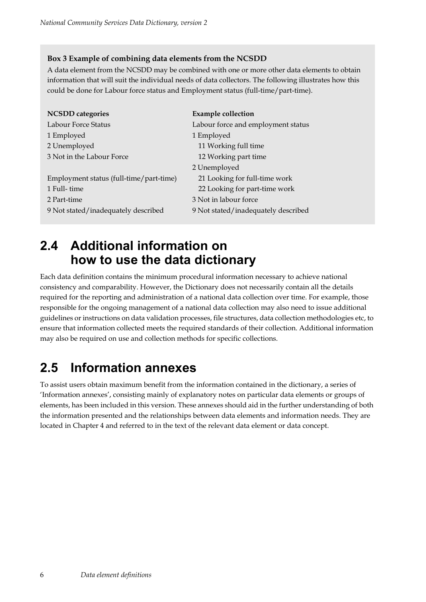#### **Box 3 Example of combining data elements from the NCSDD**

A data element from the NCSDD may be combined with one or more other data elements to obtain information that will suit the individual needs of data collectors. The following illustrates how this could be done for Labour force status and Employment status (full-time/part-time).

| <b>NCSDD</b> categories                 | <b>Example collection</b>           |
|-----------------------------------------|-------------------------------------|
| Labour Force Status                     | Labour force and employment status  |
| 1 Employed                              | 1 Employed                          |
| 2 Unemployed                            | 11 Working full time                |
| 3 Not in the Labour Force               | 12 Working part time                |
|                                         | 2 Unemployed                        |
| Employment status (full-time/part-time) | 21 Looking for full-time work       |
| 1 Full-time                             | 22 Looking for part-time work       |
| 2 Part-time                             | 3 Not in labour force               |
| 9 Not stated/inadequately described     | 9 Not stated/inadequately described |

### **2.4 Additional information on how to use the data dictionary**

Each data definition contains the minimum procedural information necessary to achieve national consistency and comparability. However, the Dictionary does not necessarily contain all the details required for the reporting and administration of a national data collection over time. For example, those responsible for the ongoing management of a national data collection may also need to issue additional guidelines or instructions on data validation processes, file structures, data collection methodologies etc, to ensure that information collected meets the required standards of their collection. Additional information may also be required on use and collection methods for specific collections.

### **2.5 Information annexes**

To assist users obtain maximum benefit from the information contained in the dictionary, a series of 'Information annexes', consisting mainly of explanatory notes on particular data elements or groups of elements, has been included in this version. These annexes should aid in the further understanding of both the information presented and the relationships between data elements and information needs. They are located in Chapter 4 and referred to in the text of the relevant data element or data concept.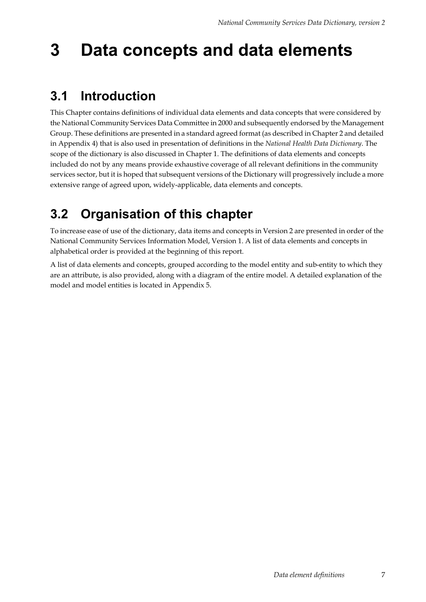## **3 Data concepts and data elements**

### **3.1 Introduction**

This Chapter contains definitions of individual data elements and data concepts that were considered by the National Community Services Data Committee in 2000 and subsequently endorsed by the Management Group. These definitions are presented in a standard agreed format (as described in Chapter 2 and detailed in Appendix 4) that is also used in presentation of definitions in the *National Health Data Dictionary*. The scope of the dictionary is also discussed in Chapter 1. The definitions of data elements and concepts included do not by any means provide exhaustive coverage of all relevant definitions in the community services sector, but it is hoped that subsequent versions of the Dictionary will progressively include a more extensive range of agreed upon, widely-applicable, data elements and concepts.

## **3.2 Organisation of this chapter**

To increase ease of use of the dictionary, data items and concepts in Version 2 are presented in order of the National Community Services Information Model, Version 1. A list of data elements and concepts in alphabetical order is provided at the beginning of this report.

A list of data elements and concepts, grouped according to the model entity and sub-entity to which they are an attribute, is also provided, along with a diagram of the entire model. A detailed explanation of the model and model entities is located in Appendix 5.